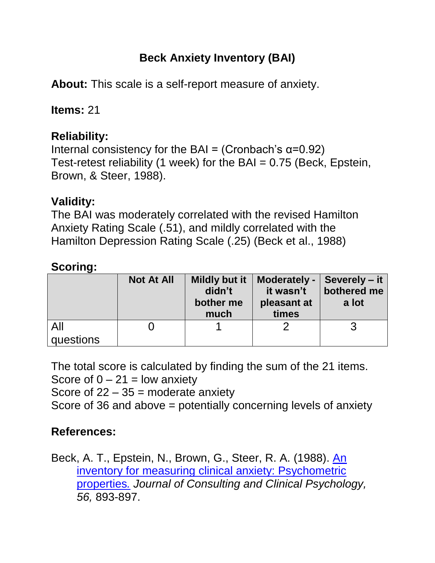# **Beck Anxiety Inventory (BAI)**

**About:** This scale is a self-report measure of anxiety.

**Items:** 21

## **Reliability:**

Internal consistency for the BAI = (Cronbach's  $α=0.92$ ) Test-retest reliability (1 week) for the BAI = 0.75 (Beck, Epstein, Brown, & Steer, 1988).

#### **Validity:**

The BAI was moderately correlated with the revised Hamilton Anxiety Rating Scale (.51), and mildly correlated with the Hamilton Depression Rating Scale (.25) (Beck et al., 1988)

#### **Scoring:**

|                  | <b>Not At All</b> | Mildly but it<br>didn't<br>bother me<br>much | Moderately -<br>it wasn't<br>pleasant at<br>times | Severely – it<br>bothered me<br>a lot |
|------------------|-------------------|----------------------------------------------|---------------------------------------------------|---------------------------------------|
| All<br>questions |                   |                                              |                                                   |                                       |

The total score is calculated by finding the sum of the 21 items. Score of  $0 - 21 =$  low anxiety Score of  $22 - 35$  = moderate anxiety Score of 36 and above = potentially concerning levels of anxiety

## **References:**

Beck, A. T., Epstein, N., Brown, G., Steer, R. A. (1988). [An](http://citeseerx.ist.psu.edu/viewdoc/download?doi=10.1.1.471.4319&rep=rep1&type=pdf)  [inventory for measuring clinical anxiety: Psychometric](http://citeseerx.ist.psu.edu/viewdoc/download?doi=10.1.1.471.4319&rep=rep1&type=pdf)  [properties](http://citeseerx.ist.psu.edu/viewdoc/download?doi=10.1.1.471.4319&rep=rep1&type=pdf)*. Journal of Consulting and Clinical Psychology, 56,* 893-897.